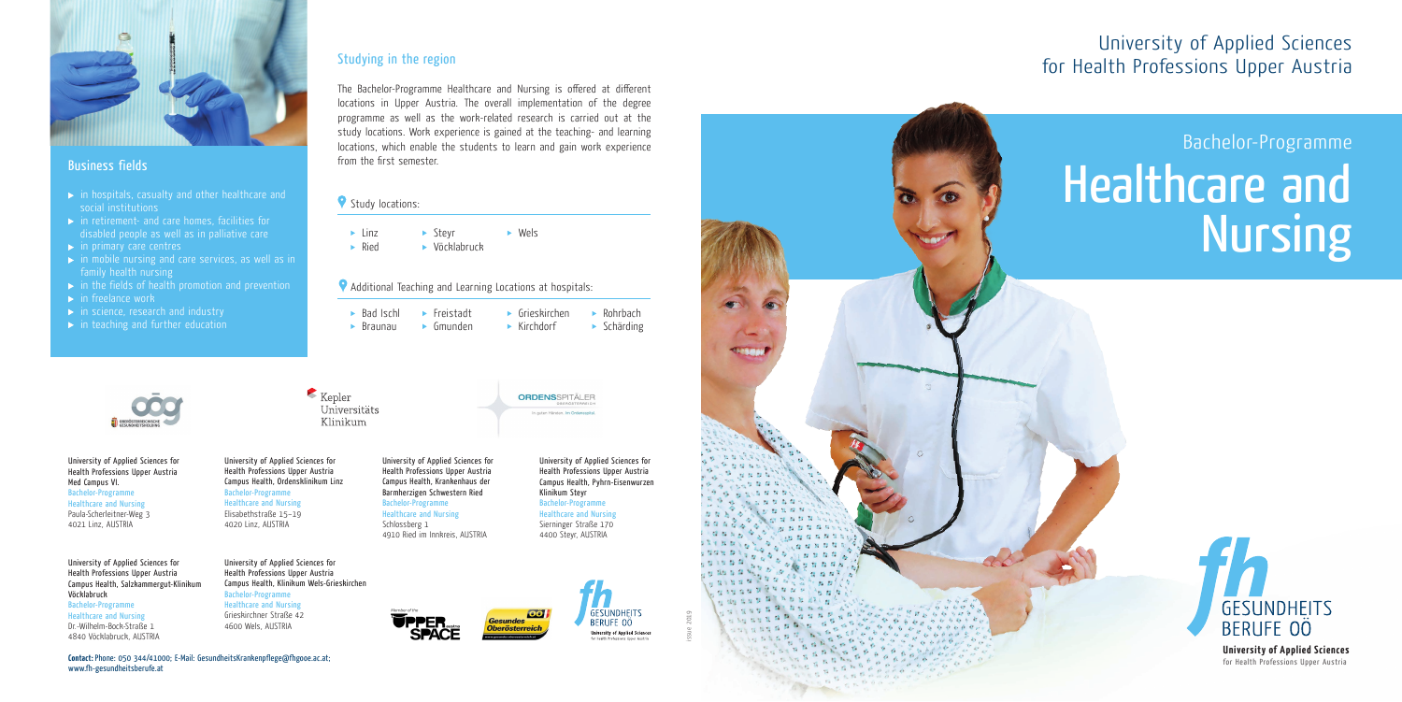Bachelor-Programme

# Healthcare and Nursing





# Business fields

- $\rightarrow$  in hospitals, casualty and other healthcare and social institutions
- $\blacktriangleright$  in retirement- and care homes, facilities for disabled people as well as in palliative care
- $\rightarrow$  in primary care centres
- $\rightarrow$  in mobile nursing and care services, as well as in family health nursing
- $\rightarrow$  in the fields of health promotion and prevention
- $\blacktriangleright$  in freelance work
- $\blacktriangleright$  in science, research and industry
- $\blacktriangleright$  in teaching and further education

► Linz ► Stevr ► Wels Ried Vöcklabruck

# Studying in the region

The Bachelor-Programme Healthcare and Nursing is offered at different locations in Upper Austria. The overall implementation of the degree programme as well as the work-related research is carried out at the study locations. Work experience is gained at the teaching- and learning locations, which enable the students to learn and gain work experience from the first semester.

## Study locations:

# Additional Teaching and Learning Locations at hospitals:

| $\triangleright$ Bad Ischl | $\blacktriangleright$ Freistadt | $\blacktriangleright$ Grieskirchen | $\triangleright$ Rohrbach  |
|----------------------------|---------------------------------|------------------------------------|----------------------------|
| $\triangleright$ Braunau   | $\blacktriangleright$ Gmunden   | $\blacktriangleright$ Kirchdorf    | $\triangleright$ Schärding |



University of Applied Sciences for Health Professions Upper Austria Med Campus VI. Bachelor-Programme Healthcare and Nursing Paula-Scherleitner-Weg 3 4021 Linz, AUSTRIA

University of Applied Sciences for

 $Kepler$ 

Universitäts

Klinikum

Health Professions Upper Austria Campus Health, Ordensklinikum Linz Bachelor-Programme Healthcare and Nursing Elisabethstraße 15–19 4020 Linz, AUSTRIA

University of Applied Sciences for Health Professions Upper Austria Campus Health, Klinikum Wels-Grieskirchen Bachelor-Programme Healthcare and Nursing Grieskirchner Straße 42 4600 Wels, AUSTRIA

#### **Contact:** Phone: 050 344/41000; E-Mail: GesundheitsKrankenpflege@fhgooe.ac.at; www.fh-gesundheitsberufe.at



University of Applied Sciences for

Health Professions Upper Austria Campus Health, Krankenhaus der Barmherzigen Schwestern Ried Bachelor-Programme Healthcare and Nursing Schlossberg 1 4910 Ried im Innkreis, AUSTRIA

University of Applied Sciences for Health Professions Upper Austria Campus Health, Pyhrn-Eisenwurzen Klinikum Steyr Bachelor-Programme Healthcare and Nursing Sierninger Straße 170 4400 Steyr, AUSTRIA

**ORDENSSPITÄLER** 

In guten Händen, Im Ordensspita



**GESUNDHEITS** BERUFE OÖ

**University of Applied Sciences** 

University of Applied Sciences for Health Professions Upper Austria Campus Health, Salzkammergut-Klinikum Vöcklabruck Bachelor-Programme Healthcare and Nursing Dr.-Wilhelm-Bock-Straße 1 4840 Vöcklabruck, AUSTRIA

University of Applied Sciences for Health Professions Upper Austria

> **University of Applied Sciences** for Health Professions Upper Austria